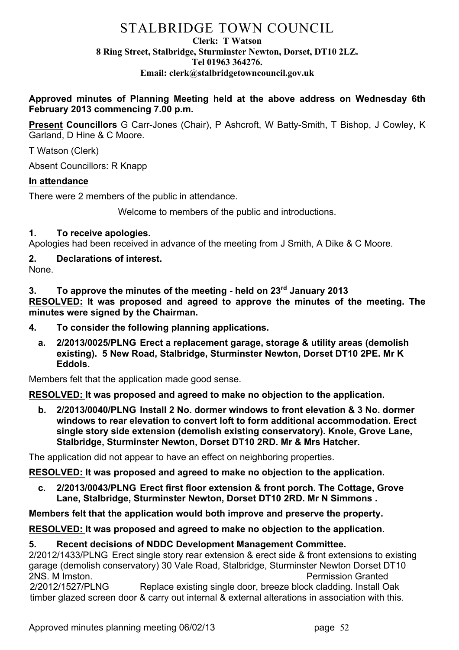# STALBRIDGE TOWN COUNCIL

#### **Clerk: T Watson 8 Ring Street, Stalbridge, Sturminster Newton, Dorset, DT10 2LZ. Tel 01963 364276. Email: clerk@stalbridgetowncouncil.gov.uk**

## **Approved minutes of Planning Meeting held at the above address on Wednesday 6th February 2013 commencing 7.00 p.m.**

**Present Councillors** G Carr-Jones (Chair), P Ashcroft, W Batty-Smith, T Bishop, J Cowley, K Garland, D Hine & C Moore.

T Watson (Clerk)

Absent Councillors: R Knapp

### **In attendance**

There were 2 members of the public in attendance.

Welcome to members of the public and introductions.

## **1. To receive apologies.**

Apologies had been received in advance of the meeting from J Smith, A Dike & C Moore.

# **2. Declarations of interest.**

None.

**3. To approve the minutes of the meeting - held on 23rd January 2013 RESOLVED: It was proposed and agreed to approve the minutes of the meeting. The minutes were signed by the Chairman.**

- **4. To consider the following planning applications.**
	- **a. 2/2013/0025/PLNG Erect a replacement garage, storage & utility areas (demolish existing). 5 New Road, Stalbridge, Sturminster Newton, Dorset DT10 2PE. Mr K Eddols.**

Members felt that the application made good sense.

**RESOLVED: It was proposed and agreed to make no objection to the application.** 

**b. 2/2013/0040/PLNG Install 2 No. dormer windows to front elevation & 3 No. dormer windows to rear elevation to convert loft to form additional accommodation. Erect single story side extension (demolish existing conservatory). Knole, Grove Lane, Stalbridge, Sturminster Newton, Dorset DT10 2RD. Mr & Mrs Hatcher.**

The application did not appear to have an effect on neighboring properties.

**RESOLVED: It was proposed and agreed to make no objection to the application.** 

**c. 2/2013/0043/PLNG Erect first floor extension & front porch. The Cottage, Grove Lane, Stalbridge, Sturminster Newton, Dorset DT10 2RD. Mr N Simmons .**

**Members felt that the application would both improve and preserve the property.**

#### **RESOLVED: It was proposed and agreed to make no objection to the application.**

#### **5. Recent decisions of NDDC Development Management Committee.**

2/2012/1433/PLNG Erect single story rear extension & erect side & front extensions to existing garage (demolish conservatory) 30 Vale Road, Stalbridge, Sturminster Newton Dorset DT10 2NS. M Imston. Permission Granted

2/2012/1527/PLNG Replace existing single door, breeze block cladding. Install Oak timber glazed screen door & carry out internal & external alterations in association with this.